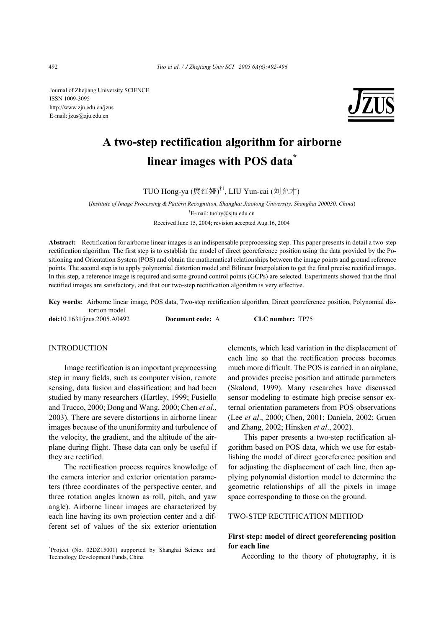Journal of Zhejiang University SCIENCE ISSN 1009-3095 http://www.zju.edu.cn/jzus E-mail: jzus@zju.edu.cn



# **A two-step rectification algorithm for airborne linear images with POS data\***

TUO Hong-ya (庹红娅) †1, LIU Yun-cai (刘允才)

(*Institute of Image Processing & Pattern Recognition, Shanghai Jiaotong University, Shanghai 200030, China*) † E-mail: tuohy@sjtu.edu.cn

Received June 15, 2004; revision accepted Aug.16, 2004

**Abstract:** Rectification for airborne linear images is an indispensable preprocessing step. This paper presents in detail a two-step rectification algorithm. The first step is to establish the model of direct georeference position using the data provided by the Positioning and Orientation System (POS) and obtain the mathematical relationships between the image points and ground reference points. The second step is to apply polynomial distortion model and Bilinear Interpolation to get the final precise rectified images. In this step, a reference image is required and some ground control points (GCPs) are selected. Experiments showed that the final rectified images are satisfactory, and that our two-step rectification algorithm is very effective.

**Key words:** Airborne linear image, POS data, Two-step rectification algorithm, Direct georeference position, Polynomial distortion model **doi:**10.1631/jzus.2005.A0492 **Document code:** A **CLC number:** TP75

# INTRODUCTION

Image rectification is an important preprocessing step in many fields, such as computer vision, remote sensing, data fusion and classification; and had been studied by many researchers (Hartley, 1999; Fusiello and Trucco, 2000; Dong and Wang, 2000; Chen *et al*., 2003). There are severe distortions in airborne linear images because of the ununiformity and turbulence of the velocity, the gradient, and the altitude of the airplane during flight. These data can only be useful if they are rectified.

The rectification process requires knowledge of the camera interior and exterior orientation parameters (three coordinates of the perspective center, and three rotation angles known as roll, pitch, and yaw angle). Airborne linear images are characterized by each line having its own projection center and a different set of values of the six exterior orientation

\* Project (No. 02DZ15001) supported by Shanghai Science and Technology Development Funds, China

elements, which lead variation in the displacement of each line so that the rectification process becomes much more difficult. The POS is carried in an airplane, and provides precise position and attitude parameters (Skaloud, 1999). Many researches have discussed sensor modeling to estimate high precise sensor external orientation parameters from POS observations (Lee *et al*., 2000; Chen, 2001; Daniela, 2002; Gruen and Zhang, 2002; Hinsken *et al*., 2002).

This paper presents a two-step rectification algorithm based on POS data, which we use for establishing the model of direct georeference position and for adjusting the displacement of each line, then applying polynomial distortion model to determine the geometric relationships of all the pixels in image space corresponding to those on the ground.

## TWO-STEP RECTIFICATION METHOD

# **First step: model of direct georeferencing position for each line**

According to the theory of photography, it is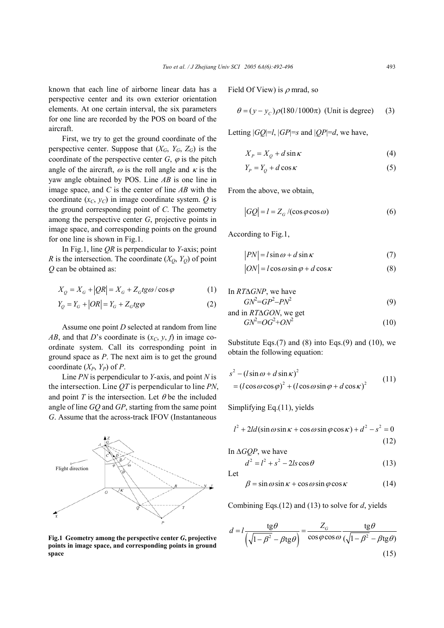known that each line of airborne linear data has a perspective center and its own exterior orientation elements. At one certain interval, the six parameters for one line are recorded by the POS on board of the aircraft.

First, we try to get the ground coordinate of the perspective center. Suppose that  $(X_G, Y_G, Z_G)$  is the coordinate of the perspective center  $G$ ,  $\varphi$  is the pitch angle of the aircraft,  $\omega$  is the roll angle and  $\kappa$  is the yaw angle obtained by POS. Line *AB* is one line in image space, and *C* is the center of line *AB* with the coordinate  $(x_C, y_C)$  in image coordinate system. *Q* is the ground corresponding point of *C*. The geometry among the perspective center *G*, projective points in image space, and corresponding points on the ground for one line is shown in Fig.1.

In Fig.1, line *QR* is perpendicular to *Y*-axis; point *R* is the intersection. The coordinate  $(X_O, Y_O)$  of point *Q* can be obtained as:

$$
X_Q = X_G + |QR| = X_G + Z_G t \, \text{g} \, \omega / \cos \varphi \tag{1}
$$

$$
Y_O = Y_G + |OR| = Y_G + Z_G t g \varphi \tag{2}
$$

Assume one point *D* selected at random from line *AB*, and that *D*'s coordinate is  $(x_C, y, f)$  in image coordinate system. Call its corresponding point in ground space as *P*. The next aim is to get the ground coordinate  $(X_P, Y_P)$  of *P*.

Line *PN* is perpendicular to *Y*-axis, and point *N* is the intersection. Line *QT* is perpendicular to line *PN*, and point  $T$  is the intersection. Let  $\theta$  be the included angle of line *GQ* and *GP*, starting from the same point *G*. Assume that the across-track IFOV (Instantaneous

#### **Fig.1 Geometry among the perspective center** *G***, projective points in image space, and corresponding points in ground space**

Field Of View) is  $\rho$  mrad, so

$$
\theta = (y - y_c)\rho(180/1000\pi)
$$
 (Unit is degree) (3)

Letting  $|GQ|=l$ ,  $|GP|=s$  and  $|QP|=d$ , we have,

$$
X_P = X_Q + d\sin\kappa \tag{4}
$$

$$
Y_p = Y_o + d\cos\kappa\tag{5}
$$

From the above, we obtain,

$$
|GQ| = l = Z_G / (\cos \varphi \cos \omega)
$$
 (6)

According to Fig.1,

$$
PN = l\sin\omega + d\sin\kappa\tag{7}
$$

$$
ON = l \cos \omega \sin \varphi + d \cos \kappa \tag{8}
$$

In 
$$
RT\Delta GNP
$$
, we have  $GN^2 = GP^2 - PN^2$  (9)

and in 
$$
RT\Delta GON
$$
, we get  $GN^2 = OG^2 + ON^2$  (10)

Substitute Eqs. $(7)$  and  $(8)$  into Eqs. $(9)$  and  $(10)$ , we obtain the following equation:

$$
s^{2} - (l\sin\omega + d\sin\kappa)^{2}
$$
  
=  $(l\cos\omega\cos\varphi)^{2} + (l\cos\omega\sin\varphi + d\cos\kappa)^{2}$  (11)

Simplifying Eq.(11), yields

$$
l^{2} + 2ld(\sin \omega \sin \kappa + \cos \omega \sin \varphi \cos \kappa) + d^{2} - s^{2} = 0
$$
\n(12)

In ∆*GQP*, we have

$$
d^2 = l^2 + s^2 - 2ls\cos\theta\tag{13}
$$

Let

$$
\beta = \sin \omega \sin \kappa + \cos \omega \sin \varphi \cos \kappa \tag{14}
$$

Combining Eqs.(12) and (13) to solve for *d*, yields

$$
d = l \frac{\text{tg}\theta}{\left(\sqrt{1 - \beta^2} - \beta \text{tg}\theta\right)} = \frac{Z_G}{\cos\varphi \cos\omega} \frac{\text{tg}\theta}{\left(\sqrt{1 - \beta^2} - \beta \text{tg}\theta\right)}
$$
(15)

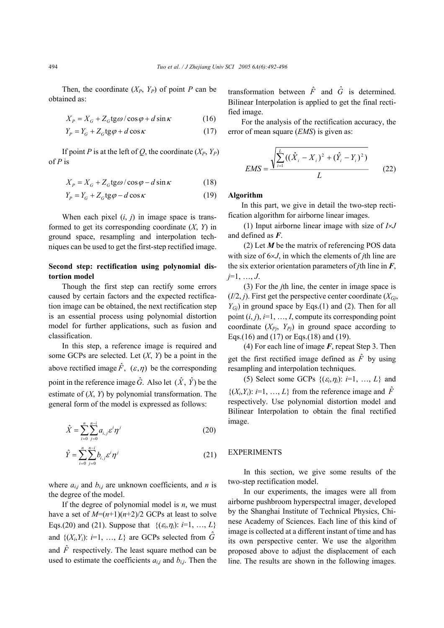Then, the coordinate  $(X_P, Y_P)$  of point *P* can be obtained as:

$$
X_P = X_G + Z_G \text{tg}\omega / \cos\varphi + d\sin\kappa \tag{16}
$$

$$
Y_P = Y_G + Z_G \text{tg}\varphi + d\cos\kappa \tag{17}
$$

If point *P* is at the left of *Q*, the coordinate  $(X_P, Y_P)$ of *P* is

$$
X_p = X_G + Z_G \text{tg}\omega / \cos\varphi - d\sin\kappa \tag{18}
$$

$$
Y_p = Y_G + Z_G \text{tg}\varphi - d\cos\kappa \tag{19}
$$

When each pixel  $(i, j)$  in image space is transformed to get its corresponding coordinate (*X*, *Y*) in ground space, resampling and interpolation techniques can be used to get the first-step rectified image.

# **Second step: rectification using polynomial distortion model**

Though the first step can rectify some errors caused by certain factors and the expected rectification image can be obtained, the next rectification step is an essential process using polynomial distortion model for further applications, such as fusion and classification.

In this step, a reference image is required and some GCPs are selected. Let (*X*, *Y*) be a point in the above rectified image  $\hat{F}$ ,  $(\varepsilon, \eta)$  be the corresponding point in the reference image  $\hat{G}$ . Also let  $(\hat{X}, \hat{Y})$  be the estimate of (*X*, *Y*) by polynomial transformation. The general form of the model is expressed as follows:

$$
\hat{X} = \sum_{i=0}^{n} \sum_{j=0}^{n-i} a_{i,j} \varepsilon^i \eta^j
$$
 (20)

$$
\hat{Y} = \sum_{i=0}^{n} \sum_{j=0}^{n-i} b_{i,j} \varepsilon^i \eta^j
$$
 (21)

where  $a_{i,j}$  and  $b_{i,j}$  are unknown coefficients, and *n* is the degree of the model.

If the degree of polynomial model is *n*, we must have a set of  $M=(n+1)(n+2)/2$  GCPs at least to solve Eqs.(20) and (21). Suppose that  $\{(\varepsilon_i, \eta_i): i=1, ..., L\}$ and  $\{(X_i, Y_i): i=1, ..., L\}$  are GCPs selected from  $\tilde{G}$ and  $\hat{F}$  respectively. The least square method can be used to estimate the coefficients  $a_{i,j}$  and  $b_{i,j}$ . Then the transformation between  $\hat{F}$  and  $\hat{G}$  is determined. Bilinear Interpolation is applied to get the final rectified image.

For the analysis of the rectification accuracy, the error of mean square (*EMS*) is given as:

$$
EMS = \frac{\sqrt{\sum_{i=1}^{L} ((\hat{X}_i - X_i)^2 + (\hat{Y}_i - Y_i)^2)}}{L}
$$
 (22)

## **Algorithm**

In this part, we give in detail the two-step rectification algorithm for airborne linear images.

(1) Input airborne linear image with size of *I*×*J* and defined as *F*.

(2) Let *M* be the matrix of referencing POS data with size of 6×*J*, in which the elements of *j*th line are the six exterior orientation parameters of *j*th line in *F*, *j*=1, …, *J*.

(3) For the *j*th line, the center in image space is  $(I/2, j)$ . First get the perspective center coordinate  $(X_{Gi},$  $Y_{Gi}$ ) in ground space by Eqs.(1) and (2). Then for all point  $(i, j)$ ,  $i=1, \ldots, I$ , compute its corresponding point coordinate  $(X_{P_i}, Y_{P_i})$  in ground space according to Eqs.(16) and (17) or Eqs.(18) and (19).

(4) For each line of image *F*, repeat Step 3. Then get the first rectified image defined as  $\hat{F}$  by using resampling and interpolation techniques.

(5) Select some GCPs  $\{(\varepsilon_i, \eta_i): i=1, ..., L\}$  and  $\{(X_i, Y_i): i=1, ..., L\}$  from the reference image and  $\hat{F}$ respectively. Use polynomial distortion model and Bilinear Interpolation to obtain the final rectified image.

## EXPERIMENTS

In this section, we give some results of the two-step rectification model.

In our experiments, the images were all from airborne pushbroom hyperspectral imager, developed by the Shanghai Institute of Technical Physics, Chinese Academy of Sciences. Each line of this kind of image is collected at a different instant of time and has its own perspective center. We use the algorithm proposed above to adjust the displacement of each line. The results are shown in the following images.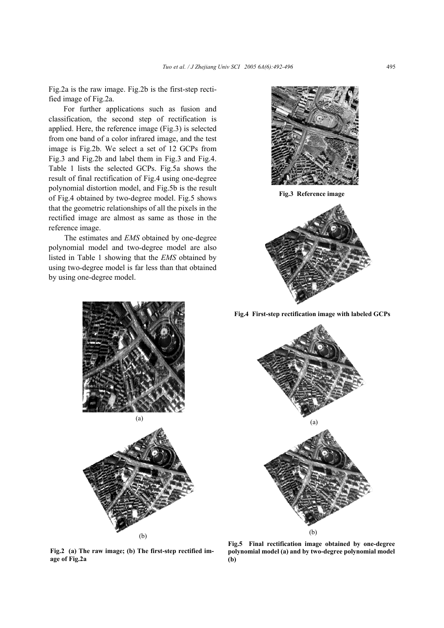Fig.2a is the raw image. Fig.2b is the first-step rectified image of Fig.2a.

For further applications such as fusion and classification, the second step of rectification is applied. Here, the reference image (Fig.3) is selected from one band of a color infrared image, and the test image is Fig.2b. We select a set of 12 GCPs from Fig.3 and Fig.2b and label them in Fig.3 and Fig.4. Table 1 lists the selected GCPs. Fig.5a shows the result of final rectification of Fig.4 using one-degree polynomial distortion model, and Fig.5b is the result of Fig.4 obtained by two-degree model. Fig.5 shows that the geometric relationships of all the pixels in the rectified image are almost as same as those in the reference image.

The estimates and *EMS* obtained by one-degree polynomial model and two-degree model are also listed in Table 1 showing that the *EMS* obtained by using two-degree model is far less than that obtained by using one-degree model.



**Fig.3 Reference image**







**Fig.4 First-step rectification image with labeled GCPs**



**Fig.2 (a) The raw image; (b) The first-step rectified image of Fig.2a**

(b)

**Fig.5 Final rectification image obtained by one-degree polynomial model (a) and by two-degree polynomial model (b)**